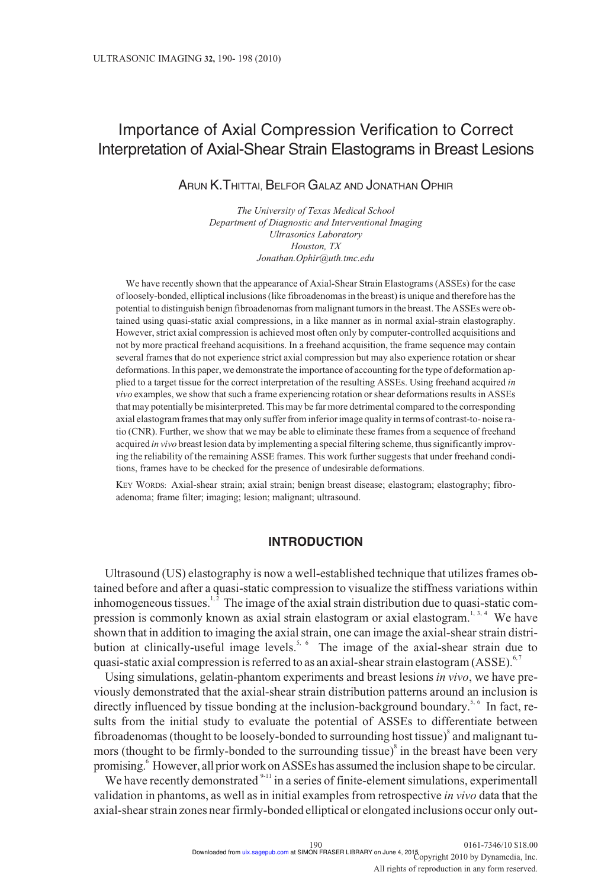# Importance of Axial Compression Verification to Correct Interpretation of Axial-Shear Strain Elastograms in Breast Lesions

# ARUN K. THITTAI. BELFOR GALAZ AND JONATHAN OPHIR

The University of Texas Medical School Department of Diagnostic and Interventional Imaging **Ultrasonics Laboratory** Houston, TX Jonathan.Ophir@uth.tmc.edu

We have recently shown that the appearance of Axial-Shear Strain Elastograms (ASSEs) for the case of loosely-bonded, elliptical inclusions (like fibroadenomas in the breast) is unique and therefore has the potential to distinguish benign fibroadenomas from malignant tumors in the breast. The ASSEs were obtained using quasi-static axial compressions, in a like manner as in normal axial-strain elastography. However, strict axial compression is achieved most often only by computer-controlled acquisitions and not by more practical freehand acquisitions. In a freehand acquisition, the frame sequence may contain several frames that do not experience strict axial compression but may also experience rotation or shear deformations. In this paper, we demonstrate the importance of accounting for the type of deformation applied to a target tissue for the correct interpretation of the resulting ASSEs. Using freehand acquired in vivo examples, we show that such a frame experiencing rotation or shear deformations results in ASSEs that may potentially be misinterpreted. This may be far more detrimental compared to the corresponding axial elastogram frames that may only suffer from inferior image quality in terms of contrast-to- noise ratio (CNR). Further, we show that we may be able to eliminate these frames from a sequence of freehand acquired in vivo breast lesion data by implementing a special filtering scheme, thus significantly improving the reliability of the remaining ASSE frames. This work further suggests that under freehand conditions, frames have to be checked for the presence of undesirable deformations.

KEY WORDS: Axial-shear strain; axial strain; benign breast disease; elastogram; elastography; fibroadenoma; frame filter; imaging; lesion; malignant; ultrasound.

# **INTRODUCTION**

Ultrasound (US) elastography is now a well-established technique that utilizes frames obtained before and after a quasi-static compression to visualize the stiffness variations within inhomogeneous tissues.<sup>1,2</sup> The image of the axial strain distribution due to quasi-static compression is commonly known as axial strain elastogram or axial elastogram.<sup>1, 3, 4</sup> We have shown that in addition to imaging the axial strain, one can image the axial-shear strain distribution at clinically-useful image levels.<sup>5, 6</sup> The image of the axial-shear strain due to quasi-static axial compression is referred to as an axial-shear strain elastogram (ASSE).<sup>6,7</sup>

Using simulations, gelatin-phantom experiments and breast lesions in vivo, we have previously demonstrated that the axial-shear strain distribution patterns around an inclusion is directly influenced by tissue bonding at the inclusion-background boundary.<sup>5,6</sup> In fact, results from the initial study to evaluate the potential of ASSEs to differentiate between fibroadenomas (thought to be loosely-bonded to surrounding host tissue)<sup>8</sup> and malignant tumors (thought to be firmly-bonded to the surrounding tissue)<sup>8</sup> in the breast have been very promising. However, all prior work on ASSEs has assumed the inclusion shape to be circular.

We have recently demonstrated <sup>9-11</sup> in a series of finite-element simulations, experimentall validation in phantoms, as well as in initial examples from retrospective in vivo data that the axial-shear strain zones near firmly-bonded elliptical or elongated inclusions occur only out-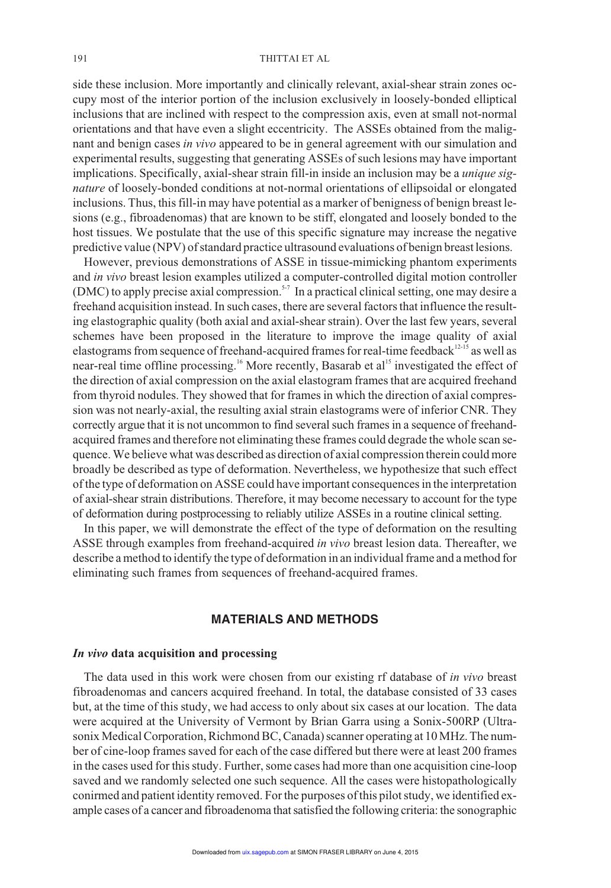#### 191 THITTAI ET AL

side these inclusion. More importantly and clinically relevant, axial-shear strain zones occupy most of the interior portion of the inclusion exclusively in loosely-bonded elliptical inclusions that are inclined with respect to the compression axis, even at small not-normal orientations and that have even a slight eccentricity. The ASSEs obtained from the malignant and benign cases in vivo appeared to be in general agreement with our simulation and experimental results, suggesting that generating ASSEs of such lesions may have important implications. Specifically, axial-shear strain fill-in inside an inclusion may be a *unique signature* of loosely-bonded conditions at not-normal orientations of ellipsoidal or elongated inclusions. Thus, this fill-in may have potential as a marker of benigness of benign breast lesions (e.g., fibroadenomas) that are known to be stiff, elongated and loosely bonded to the host tissues. We postulate that the use of this specific signature may increase the negative predictive value (NPV) of standard practice ultrasound evaluations of benign breast lesions.

However, previous demonstrations of ASSE in tissue-mimicking phantom experiments and *in vivo* breast lesion examples utilized a computer-controlled digital motion controller (DMC) to apply precise axial compression.<sup>5-7</sup> In a practical clinical setting, one may desire a free hand acquisition instead. In such cases, there are several factors that influence the resulting elastographic quality (both axial and axial-shear strain). Over the last few years, several schemes have been proposed in the literature to improve the image quality of axial elastograms from sequence of freehand-acquired frames for real-time feedback<sup>12-15</sup> as well as near-real time offline processing.<sup>16</sup> More recently, Basarab et al<sup>15</sup> investigated the effect of the direction of axial compression on the axial elastogram frames that are acquired free hand from thy roid nodules. They showed that for frames in which the direction of axial compression was not nearly-axial, the resulting axial strain elastograms were of inferior CNR. They correctly argue that it is not uncommon to find several such frames in a sequence of free handacquired frames and therefore not eliminating these frames could degrade the whole scan sequence. We believe what was described as direction of axial compression therein could more broadly be described as type of deformation. Nevertheless, we hypothesize that such effect of the type of deformation on ASSE could have important consequences in the interpretation of axial-shear strain distributions. Therefore, it may become necessary to account for the type of deformation during postprocessing to reliably utilize ASSEs in a routine clinical setting.

In this paper, we will demonstrate the effect of the type of deformation on the resulting ASSE through examples from freehand-acquired *in vivo* breast lesion data. Thereafter, we describe a method to identify the type of deformation in an individual frame and a method for eliminating such frames from sequences of freehand-acquired frames.

# **MATERIALS AND METHODS**

## *In vivo* data acquisition and processing

The data used in this work were chosen from our existing rf database of *in vivo* breast fibroadenomas and cancers acquired freehand. In total, the database consisted of 33 cases but, at the time of this study, we had access to only about six cases at our location. The data were acquired at the University of Vermont by Brian Garra using a Sonix-500RP (Ultrasonix Medical Corporation, Richmond BC, Canada) scanner operating at 10 MHz. The number of cine-loop frames saved for each of the case dif fered but there were at least 200 frames in the cases used for this study. Further, some cases had more than one acquisition cine-loop saved and we randomly selected one such sequence. All the cases were histopathologically conirmed and patient identity removed. For the purposes of this pilot study, we identified example cases of a cancer and fibroadenoma that satisfied the following criteria: the sonographic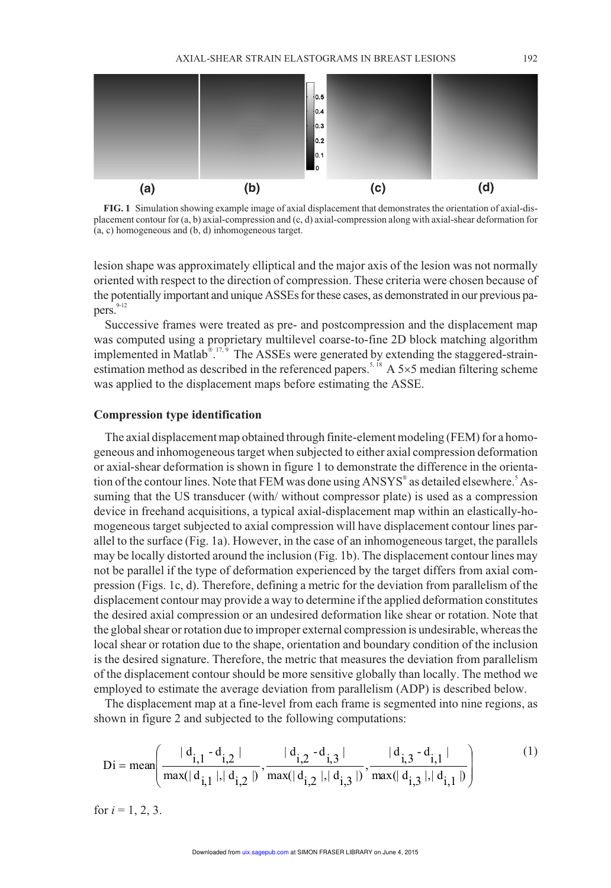

FIG. 1 Simulation showing example image of axial displacement that demonstrates the orientation of axial-displacement contour for (a, b) axial-compression and (c, d) axial-compression along with axial-shear deformation for  $(a, c)$  homogeneous and  $(b, d)$  inhomogeneous target.

lesion shape was approximately elliptical and the major axis of the lesion was not normally oriented with respect to the direction of compression. These criteria were chosen because of the potentially important and unique ASSEs for these cases, as demonstrated in our previous papers.<sup>9-12</sup>

Successive frames were treated as pre- and postcompression and the displacement map was computed using a proprietary multilevel coarse-to-fine 2D block matching algorithm implemented in Matlab®.<sup>17,9</sup> The ASSEs were generated by extending the staggered-strainestimation method as described in the referenced papers.<sup>5, is</sup> A 5 $\times$ 5 median filtering scheme was applied to the displacement maps before estimating the ASSE.

## **Compression type identification**

The axial displacement map obtained through finite-element modeling (FEM) for a homogeneous and inhomogeneous target when subjected to either axial compression deformation or axial-shear deformation is shown in figure 1 to demonstrate the difference in the orientation of the contour lines. Note that FEM was done using ANSYS<sup>®</sup> as detailed elsewhere.<sup>5</sup> Assuming that the US transducer (with/without compressor plate) is used as a compression device in freehand acquisitions, a typical axial-displacement map within an elastically-homogeneous target subjected to axial compression will have displacement contour lines parallel to the surface (Fig. 1a). However, in the case of an inhomogeneous target, the parallels may be locally distorted around the inclusion (Fig. 1b). The displacement contour lines may not be parallel if the type of deformation experienced by the target differs from axial compression (Figs. 1c, d). Therefore, defining a metric for the deviation from parallelism of the displacement contour may provide a way to determine if the applied deformation constitutes the desired axial compression or an undesired deformation like shear or rotation. Note that the global shear or rotation due to improper external compression is undesirable, whereas the local shear or rotation due to the shape, orientation and boundary condition of the inclusion is the desired signature. Therefore, the metric that measures the deviation from parallelism of the displacement contour should be more sensitive globally than locally. The method we employed to estimate the average deviation from parallelism (ADP) is described below.

The displacement map at a fine-level from each frame is segmented into nine regions, as shown in figure 2 and subjected to the following computations:

$$
Di = \text{mean}\left(\frac{|d_{i,1} - d_{i,2}|}{\max(|d_{i,1}|, |d_{i,2}|)}, \frac{|d_{i,2} - d_{i,3}|}{\max(|d_{i,2}|, |d_{i,3}|)}, \frac{|d_{i,3} - d_{i,1}|}{\max(|d_{i,3}|, |d_{i,1}|)}\right) \tag{1}
$$

for  $i = 1, 2, 3$ .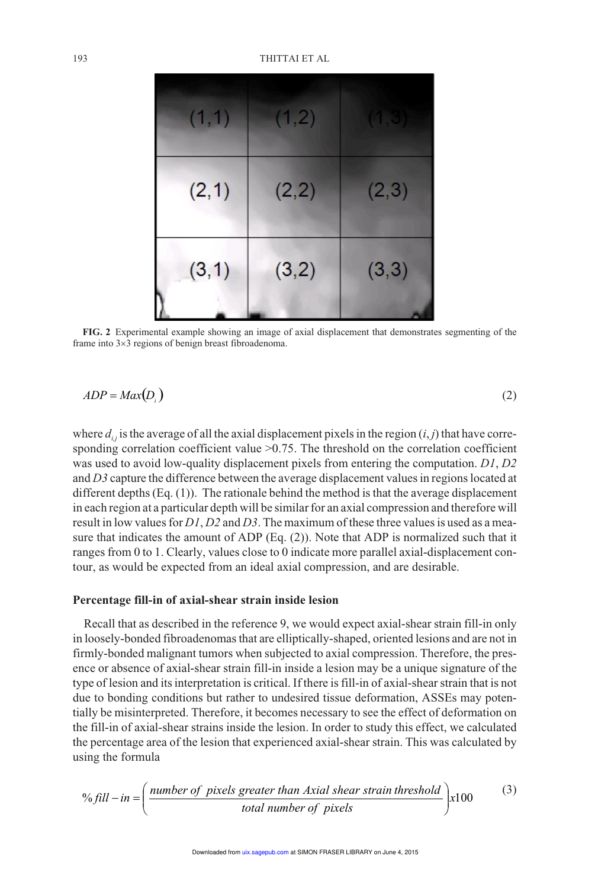| (1,1)  | (1,2) |       |
|--------|-------|-------|
| (2, 1) | (2,2) | (2,3) |
| (3, 1) | (3,2) | (3,3) |

**FIG. 2** Experimental example showing an image of axial displacement that demonstrates segmenting of the frame into  $3\times3$  regions of benign breast fibroadenoma.

$$
ADP = Max(D_i) \tag{2}
$$

where  $d_{i,j}$  is the average of all the axial displacement pixels in the region  $(i,j)$  that have corresponding correlation coefficient value  $>0.75$ . The threshold on the correlation coefficient was used to avoid low-quality displacement pixels from entering the computation. *D1*, *D2* and *D3* capture the difference between the average displacement values in regions located at different depths  $(Eq. (1))$ . The rationale behind the method is that the average displacement in each region at a particular depth will be similar for an axial compression and therefore will re sult in low values for  $D1$ ,  $D2$  and  $D3$ . The maximum of these three values is used as a measure that indicates the amount of ADP (Eq.  $(2)$ ). Note that ADP is normalized such that it ranges from 0 to 1. Clearly, values close to 0 indicate more parallel axial-displacement contour, as would be expected from an ideal axial compression, and are desirable.

#### Percentage fill-in of axial-shear strain inside lesion

Recall that as described in the reference 9, we would expect axial-shear strain fill-in only in loosely-bonded fibroadenomas that are elliptically-shaped, oriented lesions and are not in firmly-bonded malignant tumors when subjected to axial compression. Therefore, the presence or absence of axial-shear strain fill-in inside a lesion may be a unique signature of the type of lesion and its interpretation is critical. If there is fill-in of axial-shear strain that is not due to bonding conditions but rather to undesired tissue deformation, ASSEs may potentially be misinterpreted. Therefore, it becomes necessary to see the effect of deformation on the fill-in of axial-shear strains inside the lesion. In order to study this effect, we calculated the percentage area of the lesion that experienced axial-shear strain. This was calculated by using the formula

% fill – in = 
$$
\left(\frac{number\ of\ pixels\ greater\ than\ Axial\ shear\ strain\ threshold}{total\ number\ of\ pixels}\right) \times 100
$$
 (3)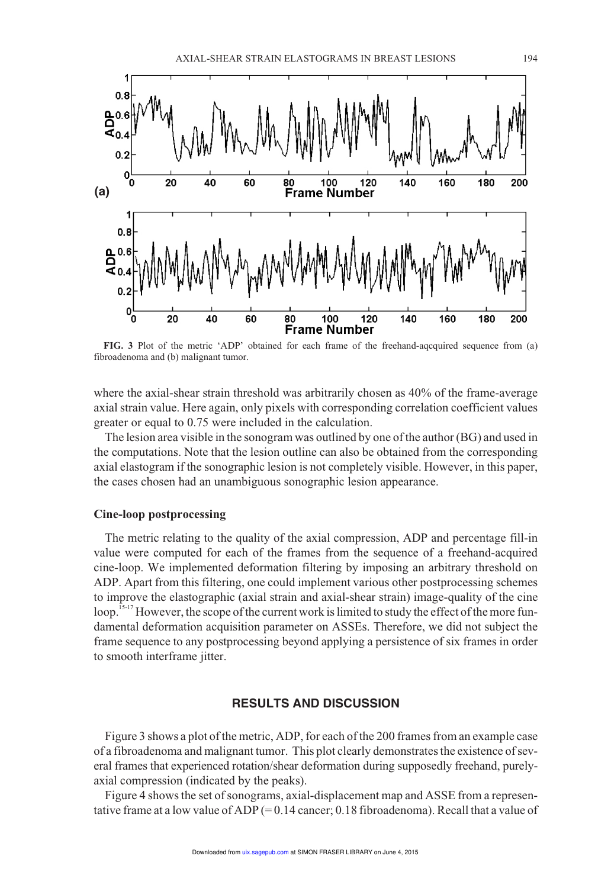

FIG. 3 Plot of the metric 'ADP' obtained for each frame of the freehand-aqcquired sequence from (a) fibroadenoma and (b) malignant tumor.

where the axial-shear strain threshold was arbitrarily chosen as  $40\%$  of the frame-average axial strain value. Here again, only pixels with corresponding correlation coefficient values greater or equal to 0.75 were included in the calculation.

The lesion area visible in the sonogram was outlined by one of the author (BG) and used in the computations. Note that the lesion outline can also be obtained from the corresponding axial elastogram if the sonographic lesion is not completely visible. However, in this paper, the cases chosen had an unambiguous sonographic lesion appearance.

#### **Cine-loop postprocessing**

The metric relating to the quality of the axial compression, ADP and percentage fill-in value were computed for each of the frames from the sequence of a free hand-acquired cine-loop. We implemented deformation filtering by imposing an arbitrary threshold on ADP. Apart from this filtering, one could implement various other postprocessing schemes to improve the elastographic (axial strain and axial-shear strain) image-quality of the cine loop.<sup>15-17</sup> However, the scope of the current work is limited to study the effect of the more fundamental deformation acquisition parameter on ASSEs. Therefore, we did not subject the frame sequence to any postprocessing beyond applying a persistence of six frames in order to smooth interframe jitter.

# **RE SULTS AND DIS CUS SION**

Figure 3 shows a plot of the metric, ADP, for each of the 200 frames from an example case of a fibroadenoma and malignant tumor. This plot clearly demonstrates the existence of several frames that experienced rotation/shear deformation during supposedly freehand, purelyaxial compression (indicated by the peaks).

Figure 4 shows the set of sonograms, axial-displacement map and ASSE from a representative frame at a low value of ADP  $(= 0.14$  cancer; 0.18 fibroadenoma). Recall that a value of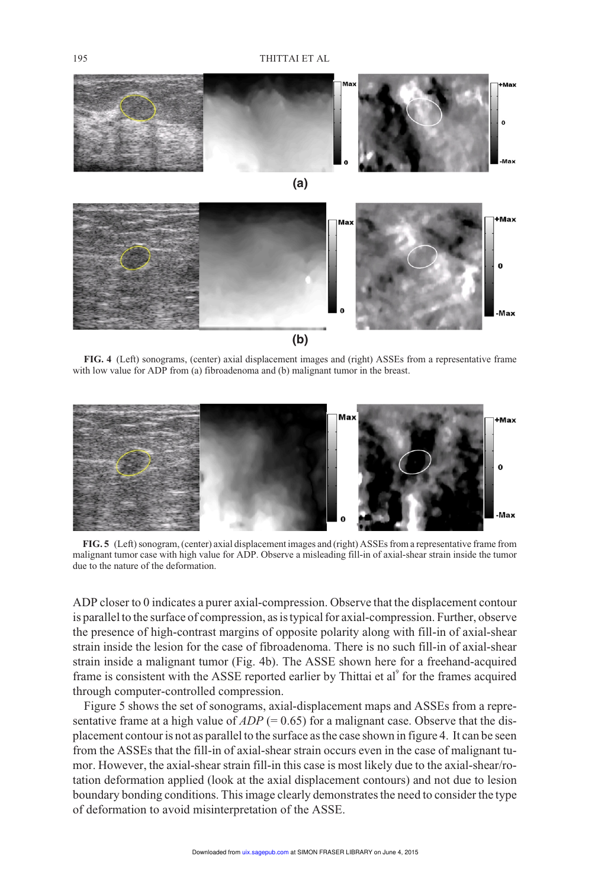

FIG. 4 (Left) sonograms, (center) axial displacement images and (right) ASSEs from a representative frame with low value for ADP from (a) fibroadenoma and (b) malignant tumor in the breast.



**FIG. 5** (Left) sonogram, (center) axial displacement images and (right) ASSEs from a representative frame from malignant tumor case with high value for ADP. Observe a misleading fill-in of axial-shear strain inside the tumor due to the nature of the deformation.

ADP closer to 0 indicates a purer axial-compression. Observe that the displacement contour is parallel to the surface of compression, as is typical for axial-compression. Further, observe the presence of high-contrast margins of opposite polarity along with fill-in of axial-shear strain inside the lesion for the case of fibroadenoma. There is no such fill-in of axial-shear strain inside a malignant tumor (Fig. 4b). The ASSE shown here for a free hand-acquired frame is consistent with the ASSE reported earlier by Thittai et al<sup>9</sup> for the frames acquired through computer-controlled compression.

Figure 5 shows the set of sonograms, axial-displacement maps and ASSEs from a representative frame at a high value of  $ADP$  (= 0.65) for a malignant case. Observe that the displace ment contour is not as parallel to the surface as the case shown in figure 4. It can be seen from the ASSEs that the fill-in of axial-shear strain occurs even in the case of malignant tumor. However, the axial-shear strain fill-in this case is most likely due to the axial-shear/rotation deformation applied (look at the axial displacement contours) and not due to lesion boundary bonding conditions. This image clearly demonstrates the need to consider the type of deformation to avoid misinterpretation of the ASSE.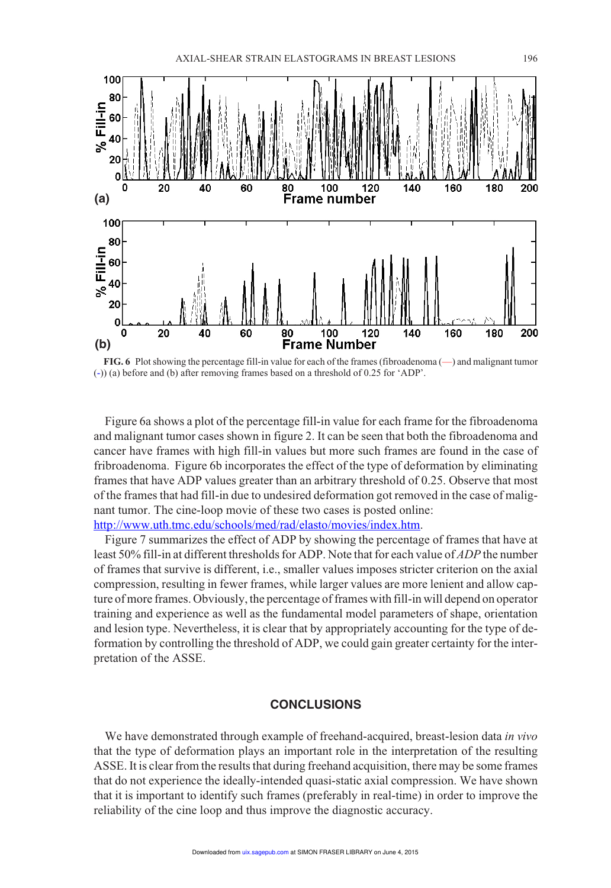

**FIG. 6** Plot showing the percentage fill-in value for each of the frames (fibroadenoma (-) and malignant tumor (-)) (a) before and (b) after removing frames based on a threshold of 0.25 for 'ADP'.

Figure 6a shows a plot of the percentage fill-in value for each frame for the fibroadenoma and malignant tumor cases shown in figure 2. It can be seen that both the fibroadenoma and cancer have frames with high fill-in values but more such frames are found in the case of fribroadenoma. Figure 6b incorporates the effect of the type of deformation by eliminating frames that have ADP values greater than an arbitrary threshold of 0.25. Observe that most of the frames that had fill-in due to undesired deformation got removed in the case of malignant tumor. The cine-loop movie of these two cases is posted online: http://www.uth.tmc.edu/schools/med/rad/elasto/movies/index.htm.

Figure 7 summarizes the effect of ADP by showing the percentage of frames that have at least 50% fill-in at different thresholds for ADP. Note that for each value of *ADP* the number of frames that survive is different, i.e., smaller values imposes stricter criterion on the axial compression, resulting in fewer frames, while larger values are more lenient and allow capture of more frames. Obviously, the percentage of frames with fill-in will depend on operator training and experience as well as the fundamental model parameters of shape, orientation and lesion type. Nevertheless, it is clear that by appropriately accounting for the type of deformation by controlling the threshold of ADP, we could gain greater certainty for the interpretation of the ASSE.

# **CON CLU SIONS**

We have demonstrated through example of freehand-acquired, breast-lesion data *in vivo* that the type of deformation plays an important role in the interpretation of the resulting ASSE. It is clear from the results that during freehand acquisition, there may be some frames that do not experience the ideally-intended quasi-static axial compression. We have shown that it is important to identify such frames (preferably in real-time) in order to improve the reliability of the cine loop and thus improve the diagnostic accuracy.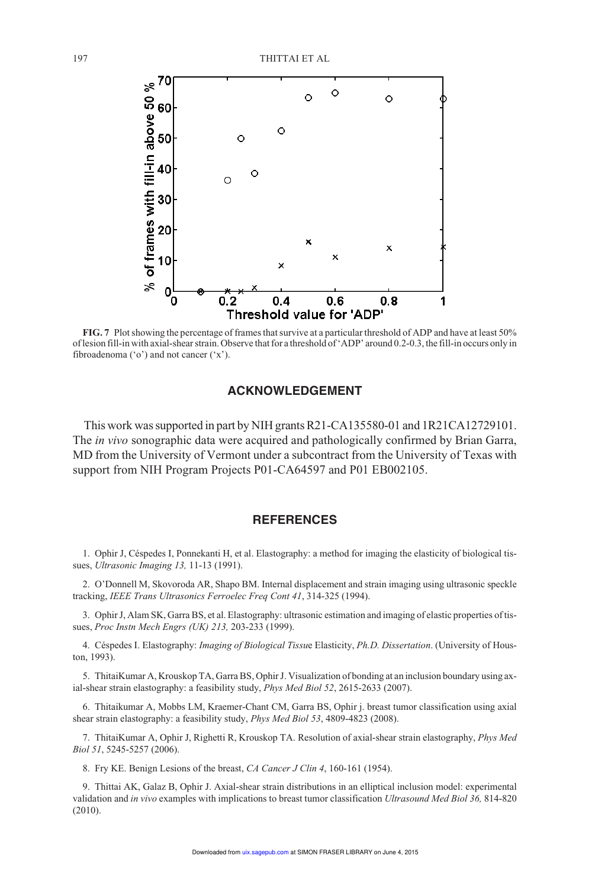

**FIG. 7** Plot showing the percentage of frames that survive at a particular threshold of ADP and have at least 50% of le sion fill-in with ax ial-shear strain. Ob serve that for a thresh old of 'ADP' around 0.2-0.3, the fill-in oc curs only in fibroadenoma ( $\sigma$ ) and not cancer ( $\sigma$ ).

# **AC KNOWL EDGE MENT**

This work was supported in part by NIH grants R21-CA135580-01 and 1R21CA12729101. The *in vivo* sonographic data were acquired and pathologically confirmed by Brian Garra, MD from the University of Vermont under a subcontract from the University of Texas with support from NIH Program Projects P01-CA64597 and P01 EB002105.

# **REF ER ENCES**

1. Ophir J, Céspedes I, Ponnekanti H, et al. Elastography: a method for imaging the elasticity of biological tissues, *Ultrasonic Imaging 13*, 11-13 (1991).

2. O'Donnell M, Skovoroda AR, Shapo BM. Internal displacement and strain imaging using ultrasonic speckle track ing, *IEEE Trans Ultrasonics Ferroelec Freq Cont 41*, 314-325 (1994).

3. Ophir J, Alam SK, Garra BS, et al. Elastography: ultrasonic estimation and imaging of elastic properties of tissues, *Proc Instn Mech Engrs (UK) 213,* 203-233 (1999).

4. Céspedes I. Elastography: *Imaging of Biological Tissue Elasticity, Ph.D. Dissertation*. (University of Houston, 1993).

5. ThitaiKumar A, Krouskop TA, Garra BS, Ophir J. Visualization of bonding at an inclusion boundary using axial-shear strain elastography: a feasibility study, *Phys Med Biol 52*, 2615-2633 (2007).

6. Thitaikumar A, Mobbs LM, Kraemer-Chant CM, Garra BS, Ophir j. breast tumor classification using axial shear strain elastography: a feasibility study, *Phys Med Biol 53*, 4809-4823 (2008).

7. ThitaiKumar A, Ophir J, Righetti R, Krouskop TA. Resolution of axial-shear strain elastography, *Phys Med Biol 51*, 5245-5257 (2006).

8. Fry KE. Benign Lesions of the breast, *CA Cancer J Clin 4*, 160-161 (1954).

9. Thittai AK, Galaz B, Ophir J. Axial-shear strain distributions in an elliptical inclusion model: experimental validation and *in vivo* examples with implications to breast tumor classification *Ultrasound Med Biol* 36, 814-820 (2010).